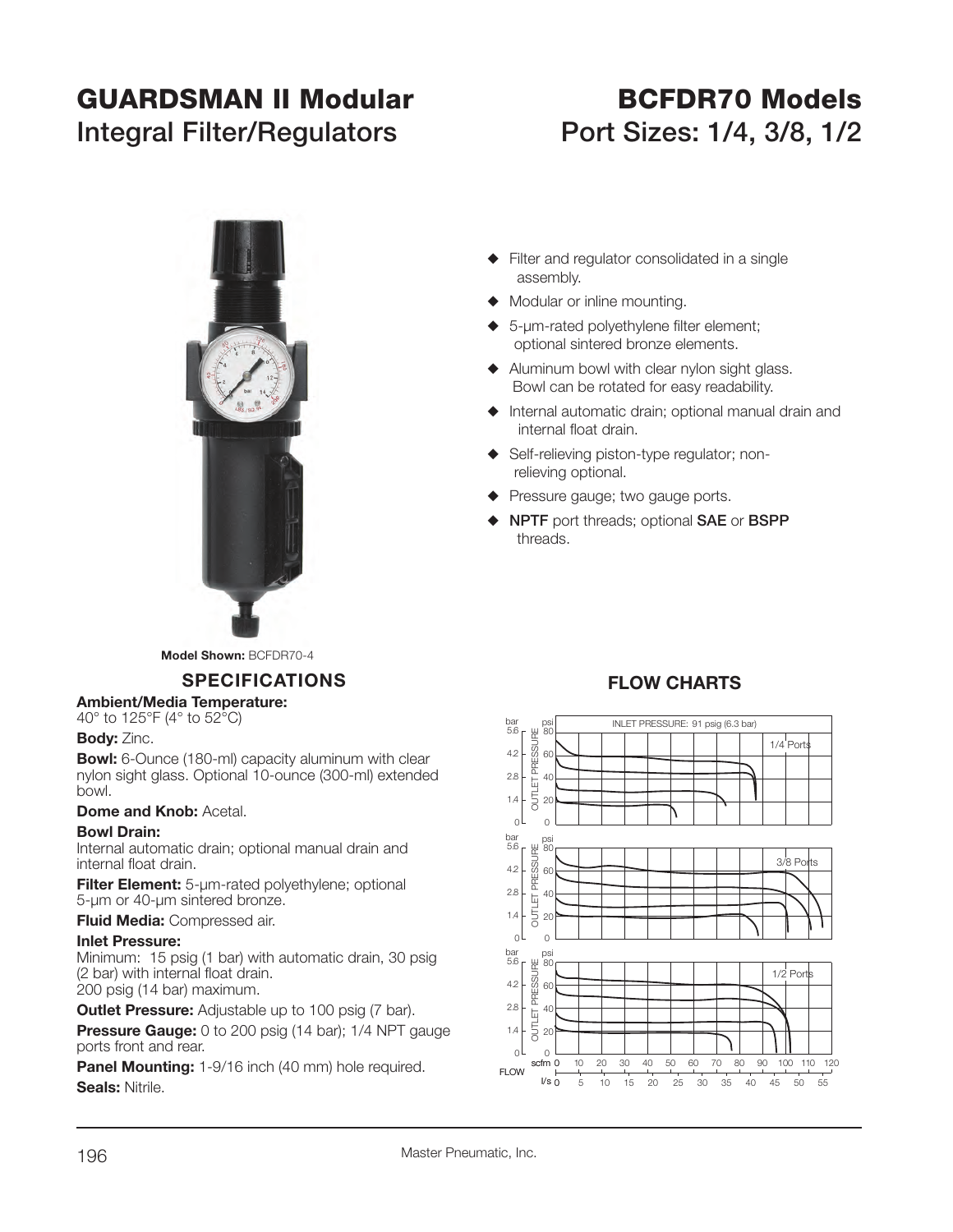# **GUARDSMAN II Modular BCFDR70 ModelsIntegral Filter/Regulators Port Sizes: 1/4, 3/8, 1/2**



- $\blacklozenge$  Filter and regulator consolidated in a single assembly.
- $\blacklozenge$  Modular or inline mounting.
- $\triangle$  5-µm-rated polyethylene filter element; optional sintered bronze elements.
- $\blacklozenge$  Aluminum bowl with clear nylon sight glass. Bowl can be rotated for easy readability.
- $\blacklozenge$  Internal automatic drain; optional manual drain and internal float drain.
- ◆ Self-relieving piston-type regulator; nonrelieving optional.
- $\blacklozenge$  Pressure gauge; two gauge ports.
- ◆ NPTF port threads; optional SAE or BSPP threads.

**Model Shown:** BCFDR70-4

# **SPECIFICATIONS**

#### **Ambient/Media Temperature:**

40° to 125°F (4° to 52°C)

#### **Body:** Zinc.

**Bowl:** 6-Ounce (180-ml) capacity aluminum with clear nylon sight glass. Optional 10-ounce (300-ml) extended bowl.

### **Dome and Knob:** Acetal.

### **Bowl Drain:**

Internal automatic drain; optional manual drain and internal float drain.

**Filter Element:** 5-µm-rated polyethylene; optional 5-µm or 40-µm sintered bronze.

**Fluid Media:** Compressed air.

### **Inlet Pressure:**

Minimum: 15 psig (1 bar) with automatic drain, 30 psig (2 bar) with internal float drain. 200 psig (14 bar) maximum.

**Outlet Pressure:** Adjustable up to 100 psig (7 bar).

**Pressure Gauge:** 0 to 200 psig (14 bar); 1/4 NPT gauge ports front and rear.

**Panel Mounting:** 1-9/16 inch (40 mm) hole required. **Seals:** Nitrile.



# **FLOW CHARTS**